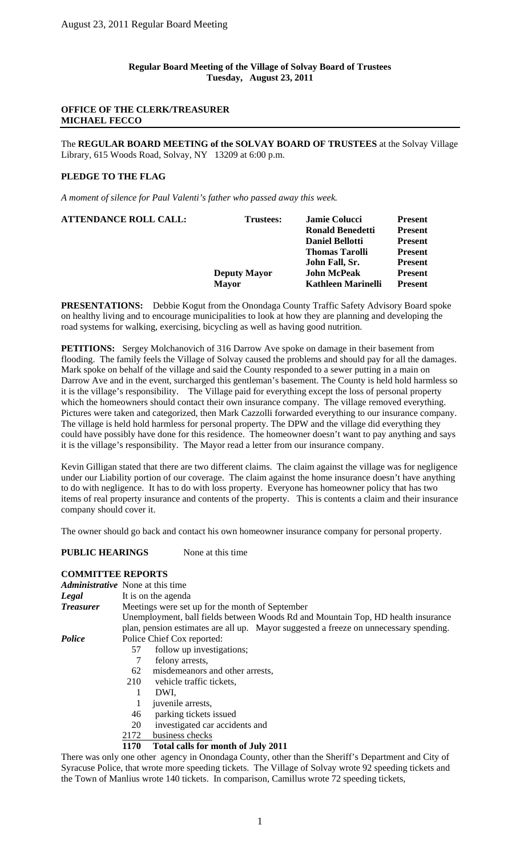## **OFFICE OF THE CLERK/TREASURER MICHAEL FECCO**

The **REGULAR BOARD MEETING of the SOLVAY BOARD OF TRUSTEES** at the Solvay Village Library, 615 Woods Road, Solvay, NY 13209 at 6:00 p.m.

# **PLEDGE TO THE FLAG**

*A moment of silence for Paul Valenti's father who passed away this week.* 

| <b>Ronald Benedetti</b><br>John Fall, Sr.<br><b>John McPeak</b><br><b>Deputy Mayor</b><br><b>Mayor</b> | <b>Daniel Bellotti</b><br><b>Present</b><br><b>Thomas Tarolli</b><br><b>Present</b><br><b>Present</b><br><b>Present</b><br><b>Kathleen Marinelli</b><br><b>Present</b> |
|--------------------------------------------------------------------------------------------------------|------------------------------------------------------------------------------------------------------------------------------------------------------------------------|
|--------------------------------------------------------------------------------------------------------|------------------------------------------------------------------------------------------------------------------------------------------------------------------------|

**PRESENTATIONS:** Debbie Kogut from the Onondaga County Traffic Safety Advisory Board spoke on healthy living and to encourage municipalities to look at how they are planning and developing the road systems for walking, exercising, bicycling as well as having good nutrition.

**PETITIONS:** Sergey Molchanovich of 316 Darrow Ave spoke on damage in their basement from flooding. The family feels the Village of Solvay caused the problems and should pay for all the damages. Mark spoke on behalf of the village and said the County responded to a sewer putting in a main on Darrow Ave and in the event, surcharged this gentleman's basement. The County is held hold harmless so it is the village's responsibility. The Village paid for everything except the loss of personal property which the homeowners should contact their own insurance company. The village removed everything. Pictures were taken and categorized, then Mark Cazzolli forwarded everything to our insurance company. The village is held hold harmless for personal property. The DPW and the village did everything they could have possibly have done for this residence. The homeowner doesn't want to pay anything and says it is the village's responsibility. The Mayor read a letter from our insurance company.

Kevin Gilligan stated that there are two different claims. The claim against the village was for negligence under our Liability portion of our coverage. The claim against the home insurance doesn't have anything to do with negligence. It has to do with loss property. Everyone has homeowner policy that has two items of real property insurance and contents of the property. This is contents a claim and their insurance company should cover it.

The owner should go back and contact his own homeowner insurance company for personal property.

**PUBLIC HEARINGS** None at this time

## **COMMITTEE REPORTS**

|                  | <i>Administrative</i> None at this time |                                                                                                        |  |  |  |  |  |
|------------------|-----------------------------------------|--------------------------------------------------------------------------------------------------------|--|--|--|--|--|
| Legal            |                                         | It is on the agenda                                                                                    |  |  |  |  |  |
| <b>Treasurer</b> |                                         | Meetings were set up for the month of September                                                        |  |  |  |  |  |
|                  |                                         | Unemployment, ball fields between Woods Rd and Mountain Top, HD health insurance                       |  |  |  |  |  |
|                  |                                         | plan, pension estimates are all up. Mayor suggested a freeze on unnecessary spending.                  |  |  |  |  |  |
| Police           |                                         | Police Chief Cox reported:                                                                             |  |  |  |  |  |
|                  | 57                                      | follow up investigations;                                                                              |  |  |  |  |  |
|                  |                                         | felony arrests,                                                                                        |  |  |  |  |  |
|                  | 62                                      | misdemeanors and other arrests,                                                                        |  |  |  |  |  |
|                  | 210                                     | vehicle traffic tickets,                                                                               |  |  |  |  |  |
|                  | 1                                       | DWI.                                                                                                   |  |  |  |  |  |
|                  |                                         | juvenile arrests,                                                                                      |  |  |  |  |  |
|                  | 46                                      | parking tickets issued                                                                                 |  |  |  |  |  |
|                  | 20                                      | investigated car accidents and                                                                         |  |  |  |  |  |
|                  | 2172                                    | business checks                                                                                        |  |  |  |  |  |
|                  | 1170                                    | Total calls for month of July 2011                                                                     |  |  |  |  |  |
|                  |                                         | There was only one other agency in Onondaga County, other than the Sheriff's Department and City of    |  |  |  |  |  |
|                  |                                         | Syracuse Police, that wrote more speeding tickets. The Village of Solvay wrote 92 speeding tickets and |  |  |  |  |  |

the Town of Manlius wrote 140 tickets. In comparison, Camillus wrote 72 speeding tickets,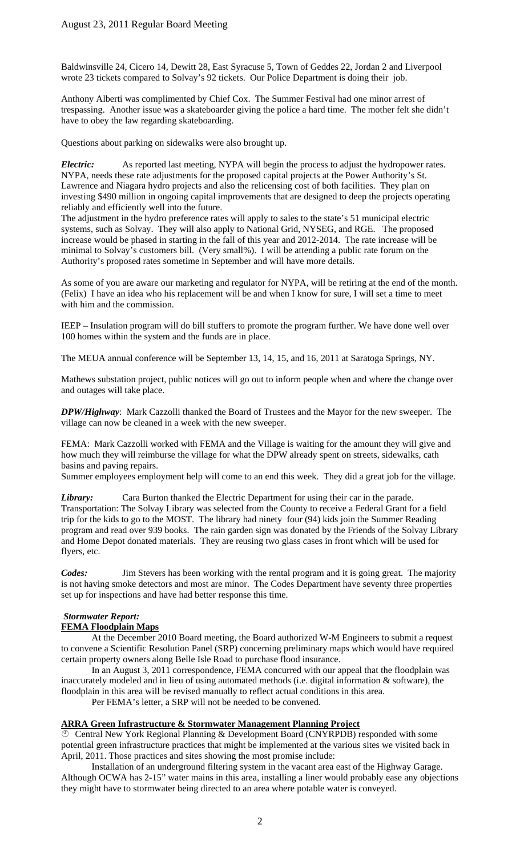Baldwinsville 24, Cicero 14, Dewitt 28, East Syracuse 5, Town of Geddes 22, Jordan 2 and Liverpool wrote 23 tickets compared to Solvay's 92 tickets. Our Police Department is doing their job.

Anthony Alberti was complimented by Chief Cox. The Summer Festival had one minor arrest of trespassing. Another issue was a skateboarder giving the police a hard time. The mother felt she didn't have to obey the law regarding skateboarding.

Questions about parking on sidewalks were also brought up.

*Electric:* As reported last meeting, NYPA will begin the process to adjust the hydropower rates. NYPA, needs these rate adjustments for the proposed capital projects at the Power Authority's St. Lawrence and Niagara hydro projects and also the relicensing cost of both facilities. They plan on investing \$490 million in ongoing capital improvements that are designed to deep the projects operating reliably and efficiently well into the future.

The adjustment in the hydro preference rates will apply to sales to the state's 51 municipal electric systems, such as Solvay. They will also apply to National Grid, NYSEG, and RGE. The proposed increase would be phased in starting in the fall of this year and 2012-2014. The rate increase will be minimal to Solvay's customers bill. (Very small%). I will be attending a public rate forum on the Authority's proposed rates sometime in September and will have more details.

As some of you are aware our marketing and regulator for NYPA, will be retiring at the end of the month. (Felix) I have an idea who his replacement will be and when I know for sure, I will set a time to meet with him and the commission.

IEEP – Insulation program will do bill stuffers to promote the program further. We have done well over 100 homes within the system and the funds are in place.

The MEUA annual conference will be September 13, 14, 15, and 16, 2011 at Saratoga Springs, NY.

Mathews substation project, public notices will go out to inform people when and where the change over and outages will take place.

*DPW/Highway*: Mark Cazzolli thanked the Board of Trustees and the Mayor for the new sweeper. The village can now be cleaned in a week with the new sweeper.

FEMA: Mark Cazzolli worked with FEMA and the Village is waiting for the amount they will give and how much they will reimburse the village for what the DPW already spent on streets, sidewalks, cath basins and paving repairs.

Summer employees employment help will come to an end this week. They did a great job for the village.

*Library:* Cara Burton thanked the Electric Department for using their car in the parade. Transportation: The Solvay Library was selected from the County to receive a Federal Grant for a field trip for the kids to go to the MOST. The library had ninety four (94) kids join the Summer Reading program and read over 939 books. The rain garden sign was donated by the Friends of the Solvay Library and Home Depot donated materials. They are reusing two glass cases in front which will be used for flyers, etc.

*Codes:* Jim Stevers has been working with the rental program and it is going great. The majority is not having smoke detectors and most are minor. The Codes Department have seventy three properties set up for inspections and have had better response this time.

# *Stormwater Report:*

## **FEMA Floodplain Maps**

At the December 2010 Board meeting, the Board authorized W-M Engineers to submit a request to convene a Scientific Resolution Panel (SRP) concerning preliminary maps which would have required certain property owners along Belle Isle Road to purchase flood insurance.

In an August 3, 2011 correspondence, FEMA concurred with our appeal that the floodplain was inaccurately modeled and in lieu of using automated methods (i.e. digital information & software), the floodplain in this area will be revised manually to reflect actual conditions in this area.

Per FEMA's letter, a SRP will not be needed to be convened.

## **ARRA Green Infrastructure & Stormwater Management Planning Project**

 Central New York Regional Planning & Development Board (CNYRPDB) responded with some potential green infrastructure practices that might be implemented at the various sites we visited back in April, 2011. Those practices and sites showing the most promise include:

Installation of an underground filtering system in the vacant area east of the Highway Garage. Although OCWA has 2-15" water mains in this area, installing a liner would probably ease any objections they might have to stormwater being directed to an area where potable water is conveyed.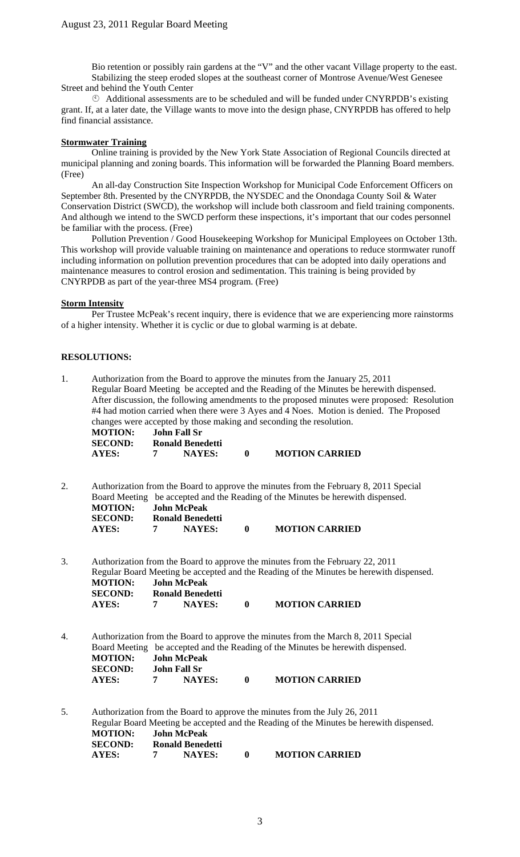Bio retention or possibly rain gardens at the "V" and the other vacant Village property to the east. Stabilizing the steep eroded slopes at the southeast corner of Montrose Avenue/West Genesee Street and behind the Youth Center

 Additional assessments are to be scheduled and will be funded under CNYRPDB's existing grant. If, at a later date, the Village wants to move into the design phase, CNYRPDB has offered to help find financial assistance.

## **Stormwater Training**

Online training is provided by the New York State Association of Regional Councils directed at municipal planning and zoning boards. This information will be forwarded the Planning Board members. (Free)

An all-day Construction Site Inspection Workshop for Municipal Code Enforcement Officers on September 8th. Presented by the CNYRPDB, the NYSDEC and the Onondaga County Soil & Water Conservation District (SWCD), the workshop will include both classroom and field training components. And although we intend to the SWCD perform these inspections, it's important that our codes personnel be familiar with the process. (Free)

Pollution Prevention / Good Housekeeping Workshop for Municipal Employees on October 13th. This workshop will provide valuable training on maintenance and operations to reduce stormwater runoff including information on pollution prevention procedures that can be adopted into daily operations and maintenance measures to control erosion and sedimentation. This training is being provided by CNYRPDB as part of the year-three MS4 program. (Free)

#### **Storm Intensity**

Per Trustee McPeak's recent inquiry, there is evidence that we are experiencing more rainstorms of a higher intensity. Whether it is cyclic or due to global warming is at debate.

## **RESOLUTIONS:**

| 1. | Authorization from the Board to approve the minutes from the January 25, 2011<br>Regular Board Meeting be accepted and the Reading of the Minutes be herewith dispensed.<br>After discussion, the following amendments to the proposed minutes were proposed: Resolution<br>#4 had motion carried when there were 3 Ayes and 4 Noes. Motion is denied. The Proposed<br>changes were accepted by those making and seconding the resolution.<br><b>John Fall Sr</b><br><b>MOTION:</b><br><b>SECOND:</b><br><b>Ronald Benedetti</b> |                                                             |                                          |          |                                                                                                                                                                                                    |  |
|----|----------------------------------------------------------------------------------------------------------------------------------------------------------------------------------------------------------------------------------------------------------------------------------------------------------------------------------------------------------------------------------------------------------------------------------------------------------------------------------------------------------------------------------|-------------------------------------------------------------|------------------------------------------|----------|----------------------------------------------------------------------------------------------------------------------------------------------------------------------------------------------------|--|
|    | <b>AYES:</b>                                                                                                                                                                                                                                                                                                                                                                                                                                                                                                                     | 7                                                           | <b>NAYES:</b>                            | $\bf{0}$ | <b>MOTION CARRIED</b>                                                                                                                                                                              |  |
| 2. | <b>MOTION:</b><br><b>SECOND:</b><br><b>AYES:</b>                                                                                                                                                                                                                                                                                                                                                                                                                                                                                 | <b>John McPeak</b><br>7                                     | <b>Ronald Benedetti</b><br><b>NAYES:</b> | $\bf{0}$ | Authorization from the Board to approve the minutes from the February 8, 2011 Special<br>Board Meeting be accepted and the Reading of the Minutes be herewith dispensed.<br><b>MOTION CARRIED</b>  |  |
| 3. | <b>MOTION:</b><br><b>SECOND:</b><br><b>AYES:</b>                                                                                                                                                                                                                                                                                                                                                                                                                                                                                 | <b>John McPeak</b><br>7                                     | <b>Ronald Benedetti</b><br><b>NAYES:</b> | $\bf{0}$ | Authorization from the Board to approve the minutes from the February 22, 2011<br>Regular Board Meeting be accepted and the Reading of the Minutes be herewith dispensed.<br><b>MOTION CARRIED</b> |  |
| 4. | <b>MOTION:</b><br><b>SECOND:</b><br><b>AYES:</b>                                                                                                                                                                                                                                                                                                                                                                                                                                                                                 | <b>John McPeak</b><br><b>John Fall Sr</b><br>$\overline{7}$ | <b>NAYES:</b>                            | $\bf{0}$ | Authorization from the Board to approve the minutes from the March 8, 2011 Special<br>Board Meeting be accepted and the Reading of the Minutes be herewith dispensed.<br><b>MOTION CARRIED</b>     |  |
| 5. | <b>MOTION:</b><br><b>SECOND:</b><br><b>AYES:</b>                                                                                                                                                                                                                                                                                                                                                                                                                                                                                 | <b>John McPeak</b><br>7                                     | <b>Ronald Benedetti</b><br><b>NAYES:</b> | $\bf{0}$ | Authorization from the Board to approve the minutes from the July 26, 2011<br>Regular Board Meeting be accepted and the Reading of the Minutes be herewith dispensed.<br><b>MOTION CARRIED</b>     |  |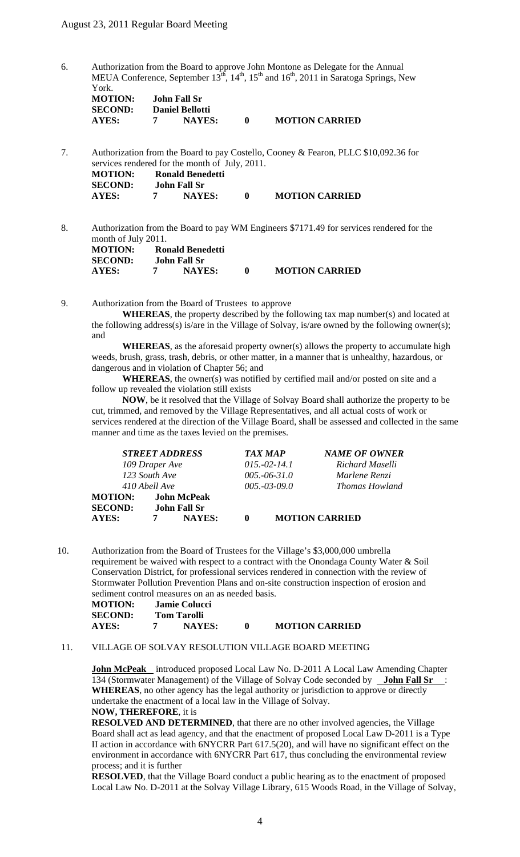6. Authorization from the Board to approve John Montone as Delegate for the Annual MEUA Conference, September  $13<sup>th</sup>$ ,  $14<sup>th</sup>$ ,  $15<sup>th</sup>$  and  $16<sup>th</sup>$ , 2011 in Saratoga Springs, New York.

| <b>MOTION:</b> | John Fall Sr           |                       |
|----------------|------------------------|-----------------------|
| <b>SECOND:</b> | <b>Daniel Bellotti</b> |                       |
| AYES:          | <b>NAYES:</b>          | <b>MOTION CARRIED</b> |

7. Authorization from the Board to pay Costello, Cooney & Fearon, PLLC \$10,092.36 for services rendered for the month of July, 2011.

| <b>MOTION:</b><br><b>SECOND:</b> | Ronald Benedetti<br>John Fall Sr |               |                       |
|----------------------------------|----------------------------------|---------------|-----------------------|
| AYES:                            |                                  | <b>NAYES:</b> | <b>MOTION CARRIED</b> |

8. Authorization from the Board to pay WM Engineers \$7171.49 for services rendered for the month of July 2011.

| <b>MOTION:</b> | Ronald Benedetti |                       |
|----------------|------------------|-----------------------|
| <b>SECOND:</b> | John Fall Sr     |                       |
| AYES:          | <b>NAYES:</b>    | <b>MOTION CARRIED</b> |

9. Authorization from the Board of Trustees to approve

**WHEREAS**, the property described by the following tax map number(s) and located at the following address(s) is/are in the Village of Solvay, is/are owned by the following owner(s); and

 **WHEREAS**, as the aforesaid property owner(s) allows the property to accumulate high weeds, brush, grass, trash, debris, or other matter, in a manner that is unhealthy, hazardous, or dangerous and in violation of Chapter 56; and

 **WHEREAS**, the owner(s) was notified by certified mail and/or posted on site and a follow up revealed the violation still exists

 **NOW**, be it resolved that the Village of Solvay Board shall authorize the property to be cut, trimmed, and removed by the Village Representatives, and all actual costs of work or services rendered at the direction of the Village Board, shall be assessed and collected in the same manner and time as the taxes levied on the premises.

|                |               | <b>STREET ADDRESS</b> | <b>TAX MAP</b> | <b>NAME OF OWNER</b>  |  |
|----------------|---------------|-----------------------|----------------|-----------------------|--|
| 109 Draper Ave |               |                       | $015,-02-14.1$ | Richard Maselli       |  |
| 123 South Ave  |               |                       | $005.-06-31.0$ | Marlene Renzi         |  |
|                | 410 Abell Ave |                       | $005.-03-09.0$ | Thomas Howland        |  |
| <b>MOTION:</b> |               | <b>John McPeak</b>    |                |                       |  |
| <b>SECOND:</b> |               | <b>John Fall Sr</b>   |                |                       |  |
| <b>AYES:</b>   |               | NAYES:                |                | <b>MOTION CARRIED</b> |  |

10. Authorization from the Board of Trustees for the Village's \$3,000,000 umbrella requirement be waived with respect to a contract with the Onondaga County Water & Soil Conservation District, for professional services rendered in connection with the review of Stormwater Pollution Prevention Plans and on-site construction inspection of erosion and sediment control measures on an as needed basis.

| <b>MOTION:</b> | Jamie Colucci |                       |
|----------------|---------------|-----------------------|
| <b>SECOND:</b> | Tom Tarolli   |                       |
| AYES:          | <b>NAYES:</b> | <b>MOTION CARRIED</b> |

## 11. VILLAGE OF SOLVAY RESOLUTION VILLAGE BOARD MEETING

**John McPeak** introduced proposed Local Law No. D-2011 A Local Law Amending Chapter 134 (Stormwater Management) of the Village of Solvay Code seconded by **John Fall Sr** : **WHEREAS**, no other agency has the legal authority or jurisdiction to approve or directly undertake the enactment of a local law in the Village of Solvay. **NOW, THEREFORE**, it is

**RESOLVED AND DETERMINED**, that there are no other involved agencies, the Village Board shall act as lead agency, and that the enactment of proposed Local Law D-2011 is a Type II action in accordance with 6NYCRR Part 617.5(20), and will have no significant effect on the environment in accordance with 6NYCRR Part 617, thus concluding the environmental review process; and it is further

**RESOLVED**, that the Village Board conduct a public hearing as to the enactment of proposed Local Law No. D-2011 at the Solvay Village Library, 615 Woods Road, in the Village of Solvay,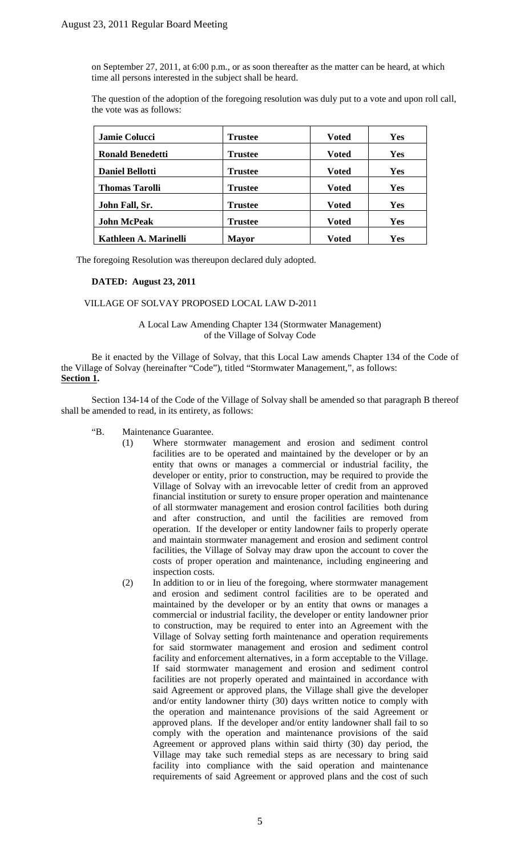on September 27, 2011, at 6:00 p.m., or as soon thereafter as the matter can be heard, at which time all persons interested in the subject shall be heard.

The question of the adoption of the foregoing resolution was duly put to a vote and upon roll call, the vote was as follows:

| <b>Jamie Colucci</b>    | <b>Trustee</b> | <b>Voted</b> | Yes        |
|-------------------------|----------------|--------------|------------|
| <b>Ronald Benedetti</b> | <b>Trustee</b> | Voted        | Yes        |
| <b>Daniel Bellotti</b>  | <b>Trustee</b> | Voted        | <b>Yes</b> |
| <b>Thomas Tarolli</b>   | <b>Trustee</b> | Voted        | <b>Yes</b> |
| John Fall, Sr.          | <b>Trustee</b> | <b>Voted</b> | <b>Yes</b> |
| <b>John McPeak</b>      | <b>Trustee</b> | <b>Voted</b> | <b>Yes</b> |
| Kathleen A. Marinelli   | <b>Mayor</b>   | <b>Voted</b> | Yes        |

The foregoing Resolution was thereupon declared duly adopted.

#### **DATED: August 23, 2011**

#### VILLAGE OF SOLVAY PROPOSED LOCAL LAW D-2011

A Local Law Amending Chapter 134 (Stormwater Management) of the Village of Solvay Code

Be it enacted by the Village of Solvay, that this Local Law amends Chapter 134 of the Code of the Village of Solvay (hereinafter "Code"), titled "Stormwater Management,", as follows: **Section 1.** 

Section 134-14 of the Code of the Village of Solvay shall be amended so that paragraph B thereof shall be amended to read, in its entirety, as follows:

- "B. Maintenance Guarantee.
	- (1) Where stormwater management and erosion and sediment control facilities are to be operated and maintained by the developer or by an entity that owns or manages a commercial or industrial facility, the developer or entity, prior to construction, may be required to provide the Village of Solvay with an irrevocable letter of credit from an approved financial institution or surety to ensure proper operation and maintenance of all stormwater management and erosion control facilities both during and after construction, and until the facilities are removed from operation. If the developer or entity landowner fails to properly operate and maintain stormwater management and erosion and sediment control facilities, the Village of Solvay may draw upon the account to cover the costs of proper operation and maintenance, including engineering and inspection costs.
	- (2) In addition to or in lieu of the foregoing, where stormwater management and erosion and sediment control facilities are to be operated and maintained by the developer or by an entity that owns or manages a commercial or industrial facility, the developer or entity landowner prior to construction, may be required to enter into an Agreement with the Village of Solvay setting forth maintenance and operation requirements for said stormwater management and erosion and sediment control facility and enforcement alternatives, in a form acceptable to the Village. If said stormwater management and erosion and sediment control facilities are not properly operated and maintained in accordance with said Agreement or approved plans, the Village shall give the developer and/or entity landowner thirty (30) days written notice to comply with the operation and maintenance provisions of the said Agreement or approved plans. If the developer and/or entity landowner shall fail to so comply with the operation and maintenance provisions of the said Agreement or approved plans within said thirty (30) day period, the Village may take such remedial steps as are necessary to bring said facility into compliance with the said operation and maintenance requirements of said Agreement or approved plans and the cost of such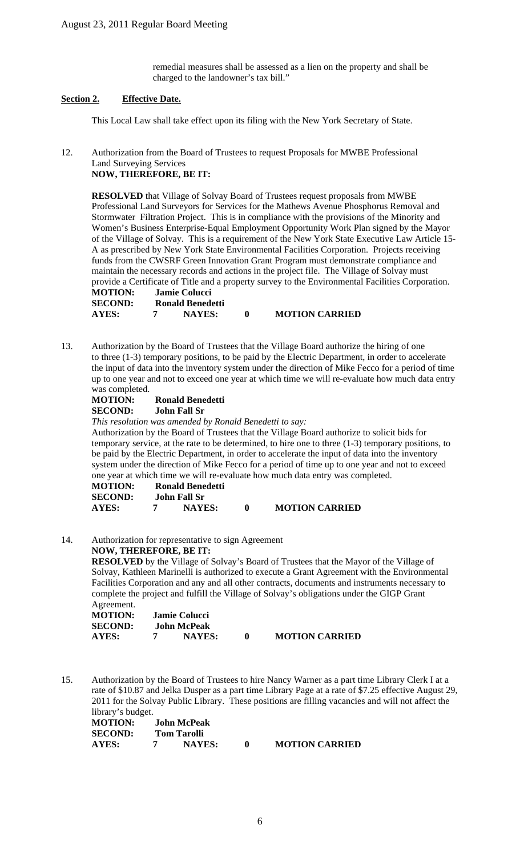remedial measures shall be assessed as a lien on the property and shall be charged to the landowner's tax bill."

## **Section 2. Effective Date.**

This Local Law shall take effect upon its filing with the New York Secretary of State.

12. Authorization from the Board of Trustees to request Proposals for MWBE Professional Land Surveying Services **NOW, THEREFORE, BE IT:** 

**RESOLVED** that Village of Solvay Board of Trustees request proposals from MWBE Professional Land Surveyors for Services for the Mathews Avenue Phosphorus Removal and Stormwater Filtration Project. This is in compliance with the provisions of the Minority and Women's Business Enterprise-Equal Employment Opportunity Work Plan signed by the Mayor of the Village of Solvay. This is a requirement of the New York State Executive Law Article 15- A as prescribed by New York State Environmental Facilities Corporation. Projects receiving funds from the CWSRF Green Innovation Grant Program must demonstrate compliance and maintain the necessary records and actions in the project file. The Village of Solvay must provide a Certificate of Title and a property survey to the Environmental Facilities Corporation.

| <b>MOTION:</b> | Jamie Colucci    |                       |
|----------------|------------------|-----------------------|
| <b>SECOND:</b> | Ronald Benedetti |                       |
| AYES:          | <b>NAYES:</b>    | <b>MOTION CARRIED</b> |

13. Authorization by the Board of Trustees that the Village Board authorize the hiring of one to three (1-3) temporary positions, to be paid by the Electric Department, in order to accelerate the input of data into the inventory system under the direction of Mike Fecco for a period of time up to one year and not to exceed one year at which time we will re-evaluate how much data entry was completed.

| <b>MOTION:</b> | Ronald Benedetti    |
|----------------|---------------------|
| <b>SECOND:</b> | <b>John Fall Sr</b> |

*This resolution was amended by Ronald Benedetti to say:*  Authorization by the Board of Trustees that the Village Board authorize to solicit bids for temporary service, at the rate to be determined, to hire one to three (1-3) temporary positions, to be paid by the Electric Department, in order to accelerate the input of data into the inventory system under the direction of Mike Fecco for a period of time up to one year and not to exceed one year at which time we will re-evaluate how much data entry was completed.

| <b>MOTION:</b> | Ronald Benedetti |                       |
|----------------|------------------|-----------------------|
| <b>SECOND:</b> | John Fall Sr     |                       |
| AYES:          | <b>NAYES:</b>    | <b>MOTION CARRIED</b> |

14. Authorization for representative to sign Agreement

**NOW, THEREFORE, BE IT: RESOLVED** by the Village of Solvay's Board of Trustees that the Mayor of the Village of Solvay, Kathleen Marinelli is authorized to execute a Grant Agreement with the Environmental Facilities Corporation and any and all other contracts, documents and instruments necessary to complete the project and fulfill the Village of Solvay's obligations under the GIGP Grant Agreement.

| MOTION:        | Jamie Colucci |                       |
|----------------|---------------|-----------------------|
| <b>SECOND:</b> | John McPeak   |                       |
| <b>AYES:</b>   | <b>NAYES:</b> | <b>MOTION CARRIED</b> |

15. Authorization by the Board of Trustees to hire Nancy Warner as a part time Library Clerk I at a rate of \$10.87 and Jelka Dusper as a part time Library Page at a rate of \$7.25 effective August 29, 2011 for the Solvay Public Library. These positions are filling vacancies and will not affect the library's budget.

| $norm1$ order $norm2$<br><b>MOTION:</b> |                    | <b>John McPeak</b> |                       |
|-----------------------------------------|--------------------|--------------------|-----------------------|
| <b>SECOND:</b>                          | <b>Tom Tarolli</b> |                    |                       |
| AYES:                                   |                    | <b>NAYES:</b>      | <b>MOTION CARRIED</b> |